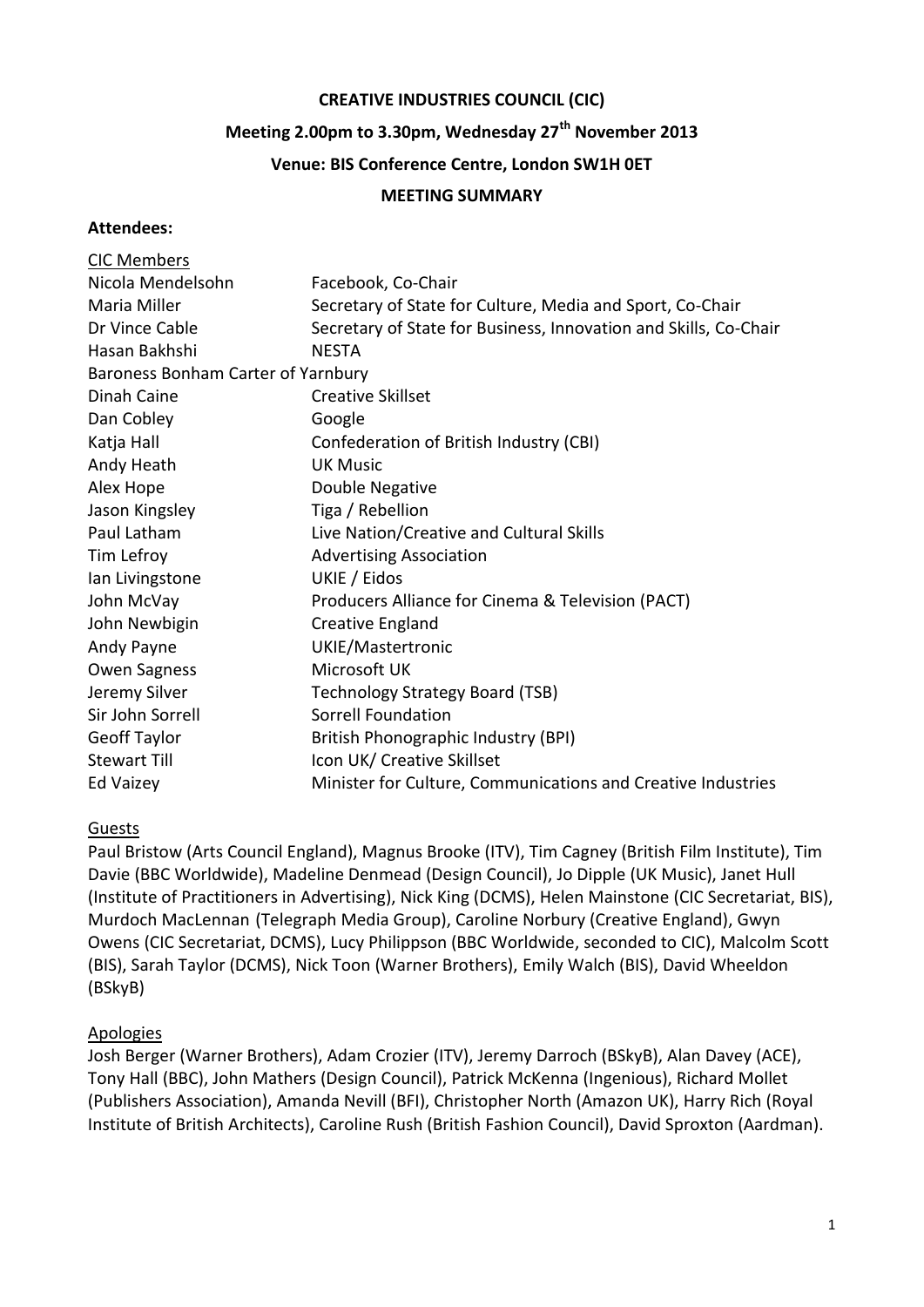#### **CREATIVE INDUSTRIES COUNCIL (CIC)**

# **Meeting 2.00pm to 3.30pm, Wednesday 27th November 2013**

#### **Venue: BIS Conference Centre, London SW1H 0ET**

#### **MEETING SUMMARY**

#### **Attendees:**

| <b>CIC Members</b>                 |                                                                  |
|------------------------------------|------------------------------------------------------------------|
| Nicola Mendelsohn                  | Facebook, Co-Chair                                               |
| Maria Miller                       | Secretary of State for Culture, Media and Sport, Co-Chair        |
| Dr Vince Cable                     | Secretary of State for Business, Innovation and Skills, Co-Chair |
| Hasan Bakhshi                      | <b>NESTA</b>                                                     |
| Baroness Bonham Carter of Yarnbury |                                                                  |
| Dinah Caine                        | <b>Creative Skillset</b>                                         |
| Dan Cobley                         | Google                                                           |
| Katja Hall                         | Confederation of British Industry (CBI)                          |
| Andy Heath                         | <b>UK Music</b>                                                  |
| Alex Hope                          | Double Negative                                                  |
| Jason Kingsley                     | Tiga / Rebellion                                                 |
| Paul Latham                        | Live Nation/Creative and Cultural Skills                         |
| Tim Lefroy                         | <b>Advertising Association</b>                                   |
| Ian Livingstone                    | UKIE / Eidos                                                     |
| John McVay                         | Producers Alliance for Cinema & Television (PACT)                |
| John Newbigin                      | <b>Creative England</b>                                          |
| Andy Payne                         | UKIE/Mastertronic                                                |
| <b>Owen Sagness</b>                | Microsoft UK                                                     |
| Jeremy Silver                      | <b>Technology Strategy Board (TSB)</b>                           |
| Sir John Sorrell                   | Sorrell Foundation                                               |
| <b>Geoff Taylor</b>                | British Phonographic Industry (BPI)                              |
| <b>Stewart Till</b>                | Icon UK/ Creative Skillset                                       |
| Ed Vaizey                          | Minister for Culture, Communications and Creative Industries     |

#### Guests

Paul Bristow (Arts Council England), Magnus Brooke (ITV), Tim Cagney (British Film Institute), Tim Davie (BBC Worldwide), Madeline Denmead (Design Council), Jo Dipple (UK Music), Janet Hull (Institute of Practitioners in Advertising), Nick King (DCMS), Helen Mainstone (CIC Secretariat, BIS), Murdoch MacLennan (Telegraph Media Group), Caroline Norbury (Creative England), Gwyn Owens (CIC Secretariat, DCMS), Lucy Philippson (BBC Worldwide, seconded to CIC), Malcolm Scott (BIS), Sarah Taylor (DCMS), Nick Toon (Warner Brothers), Emily Walch (BIS), David Wheeldon (BSkyB)

#### Apologies

Josh Berger (Warner Brothers), Adam Crozier (ITV), Jeremy Darroch (BSkyB), Alan Davey (ACE), Tony Hall (BBC), John Mathers (Design Council), Patrick McKenna (Ingenious), Richard Mollet (Publishers Association), Amanda Nevill (BFI), Christopher North (Amazon UK), Harry Rich (Royal Institute of British Architects), Caroline Rush (British Fashion Council), David Sproxton (Aardman).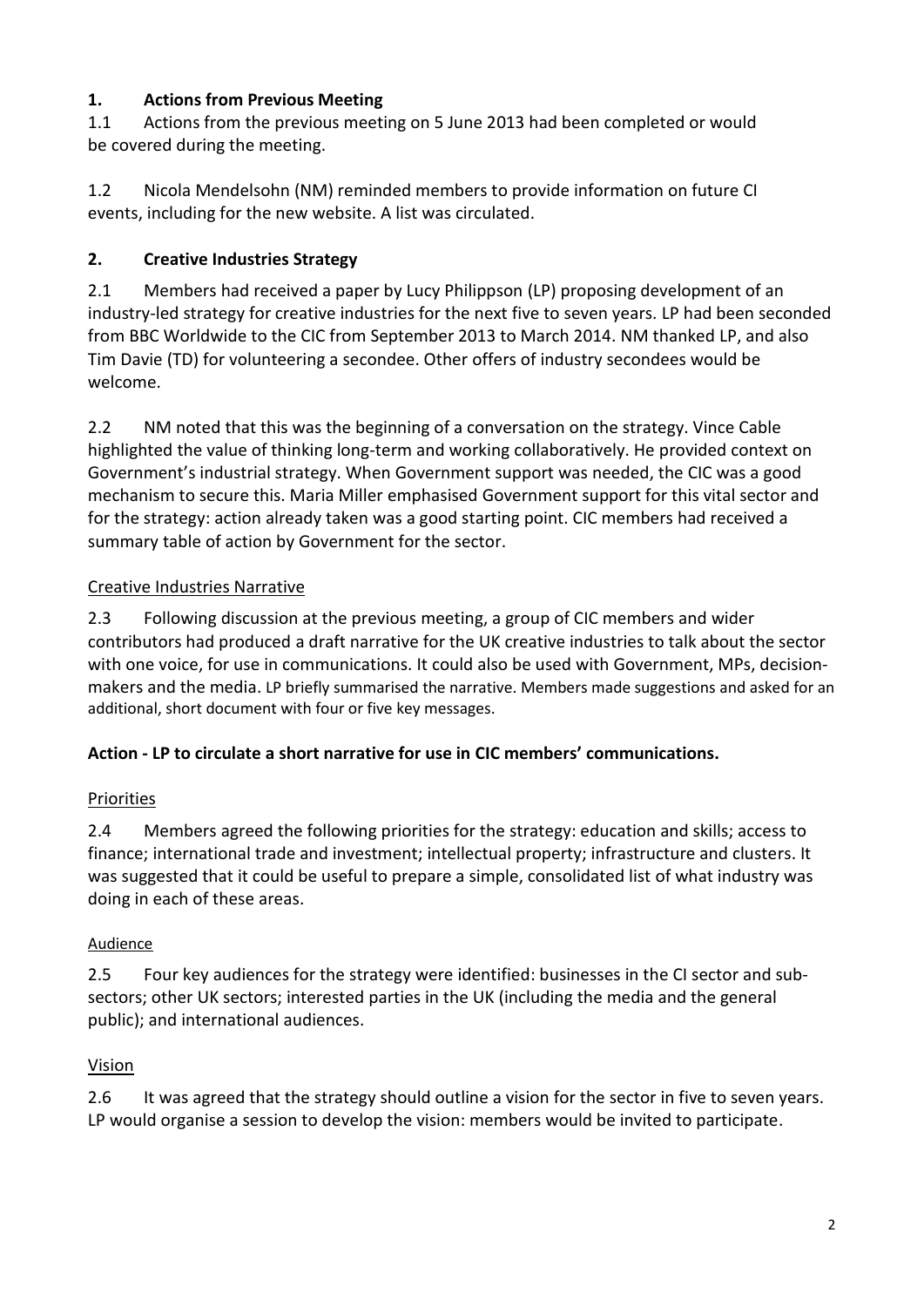### **1. Actions from Previous Meeting**

1.1 Actions from the previous meeting on 5 June 2013 had been completed or would be covered during the meeting.

1.2 Nicola Mendelsohn (NM) reminded members to provide information on future CI events, including for the new website. A list was circulated.

# **2. Creative Industries Strategy**

2.1 Members had received a paper by Lucy Philippson (LP) proposing development of an industry-led strategy for creative industries for the next five to seven years. LP had been seconded from BBC Worldwide to the CIC from September 2013 to March 2014. NM thanked LP, and also Tim Davie (TD) for volunteering a secondee. Other offers of industry secondees would be welcome.

2.2 NM noted that this was the beginning of a conversation on the strategy. Vince Cable highlighted the value of thinking long-term and working collaboratively. He provided context on Government's industrial strategy. When Government support was needed, the CIC was a good mechanism to secure this. Maria Miller emphasised Government support for this vital sector and for the strategy: action already taken was a good starting point. CIC members had received a summary table of action by Government for the sector.

# Creative Industries Narrative

2.3 Following discussion at the previous meeting, a group of CIC members and wider contributors had produced a draft narrative for the UK creative industries to talk about the sector with one voice, for use in communications. It could also be used with Government, MPs, decisionmakers and the media. LP briefly summarised the narrative. Members made suggestions and asked for an additional, short document with four or five key messages.

# **Action - LP to circulate a short narrative for use in CIC members' communications.**

# Priorities

2.4 Members agreed the following priorities for the strategy: education and skills; access to finance; international trade and investment; intellectual property; infrastructure and clusters. It was suggested that it could be useful to prepare a simple, consolidated list of what industry was doing in each of these areas.

# Audience

2.5 Four key audiences for the strategy were identified: businesses in the CI sector and subsectors; other UK sectors; interested parties in the UK (including the media and the general public); and international audiences.

# Vision

2.6 It was agreed that the strategy should outline a vision for the sector in five to seven years. LP would organise a session to develop the vision: members would be invited to participate.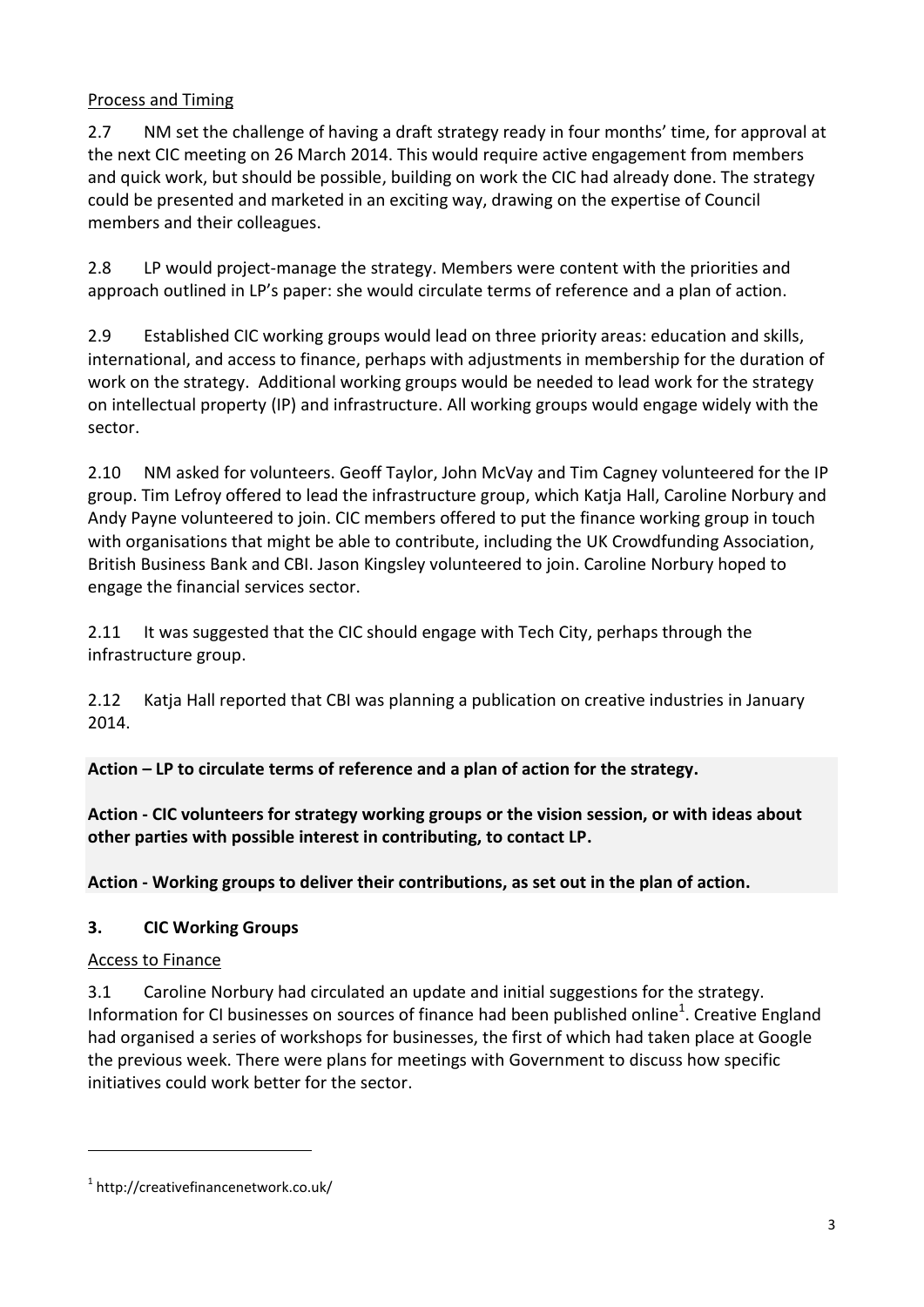### Process and Timing

2.7 NM set the challenge of having a draft strategy ready in four months' time, for approval at the next CIC meeting on 26 March 2014. This would require active engagement from members and quick work, but should be possible, building on work the CIC had already done. The strategy could be presented and marketed in an exciting way, drawing on the expertise of Council members and their colleagues.

2.8 LP would project-manage the strategy. Members were content with the priorities and approach outlined in LP's paper: she would circulate terms of reference and a plan of action.

2.9 Established CIC working groups would lead on three priority areas: education and skills, international, and access to finance, perhaps with adjustments in membership for the duration of work on the strategy. Additional working groups would be needed to lead work for the strategy on intellectual property (IP) and infrastructure. All working groups would engage widely with the sector.

2.10 NM asked for volunteers. Geoff Taylor, John McVay and Tim Cagney volunteered for the IP group. Tim Lefroy offered to lead the infrastructure group, which Katja Hall, Caroline Norbury and Andy Payne volunteered to join. CIC members offered to put the finance working group in touch with organisations that might be able to contribute, including the UK Crowdfunding Association, British Business Bank and CBI. Jason Kingsley volunteered to join. Caroline Norbury hoped to engage the financial services sector.

2.11 It was suggested that the CIC should engage with Tech City, perhaps through the infrastructure group.

2.12 Katja Hall reported that CBI was planning a publication on creative industries in January 2014.

**Action – LP to circulate terms of reference and a plan of action for the strategy.** 

**Action - CIC volunteers for strategy working groups or the vision session, or with ideas about other parties with possible interest in contributing, to contact LP.** 

**Action - Working groups to deliver their contributions, as set out in the plan of action.** 

# **3. CIC Working Groups**

### Access to Finance

**.** 

3.1 Caroline Norbury had circulated an update and initial suggestions for the strategy. Information for CI businesses on sources of finance had been published online<sup>1</sup>. Creative England had organised a series of workshops for businesses, the first of which had taken place at Google the previous week. There were plans for meetings with Government to discuss how specific initiatives could work better for the sector.

<sup>1</sup> http://creativefinancenetwork.co.uk/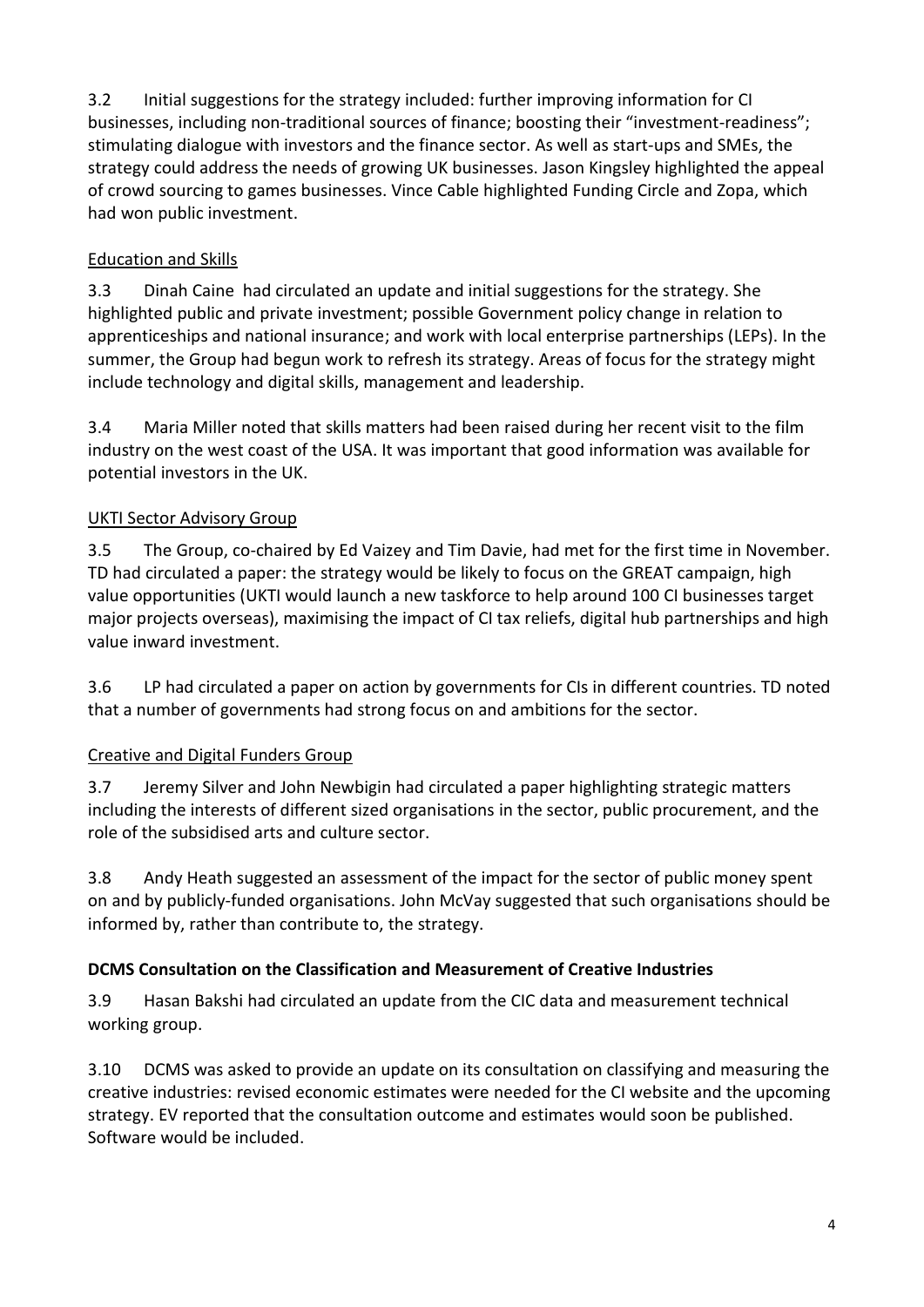3.2 Initial suggestions for the strategy included: further improving information for CI businesses, including non-traditional sources of finance; boosting their "investment-readiness"; stimulating dialogue with investors and the finance sector. As well as start-ups and SMEs, the strategy could address the needs of growing UK businesses. Jason Kingsley highlighted the appeal of crowd sourcing to games businesses. Vince Cable highlighted Funding Circle and Zopa, which had won public investment.

## Education and Skills

3.3 Dinah Caine had circulated an update and initial suggestions for the strategy. She highlighted public and private investment; possible Government policy change in relation to apprenticeships and national insurance; and work with local enterprise partnerships (LEPs). In the summer, the Group had begun work to refresh its strategy. Areas of focus for the strategy might include technology and digital skills, management and leadership.

3.4 Maria Miller noted that skills matters had been raised during her recent visit to the film industry on the west coast of the USA. It was important that good information was available for potential investors in the UK.

### UKTI Sector Advisory Group

3.5 The Group, co-chaired by Ed Vaizey and Tim Davie, had met for the first time in November. TD had circulated a paper: the strategy would be likely to focus on the GREAT campaign, high value opportunities (UKTI would launch a new taskforce to help around 100 CI businesses target major projects overseas), maximising the impact of CI tax reliefs, digital hub partnerships and high value inward investment.

3.6 LP had circulated a paper on action by governments for CIs in different countries. TD noted that a number of governments had strong focus on and ambitions for the sector.

# Creative and Digital Funders Group

3.7 Jeremy Silver and John Newbigin had circulated a paper highlighting strategic matters including the interests of different sized organisations in the sector, public procurement, and the role of the subsidised arts and culture sector.

3.8 Andy Heath suggested an assessment of the impact for the sector of public money spent on and by publicly-funded organisations. John McVay suggested that such organisations should be informed by, rather than contribute to, the strategy.

### **DCMS Consultation on the Classification and Measurement of Creative Industries**

3.9 Hasan Bakshi had circulated an update from the CIC data and measurement technical working group.

3.10 DCMS was asked to provide an update on its consultation on classifying and measuring the creative industries: revised economic estimates were needed for the CI website and the upcoming strategy. EV reported that the consultation outcome and estimates would soon be published. Software would be included.